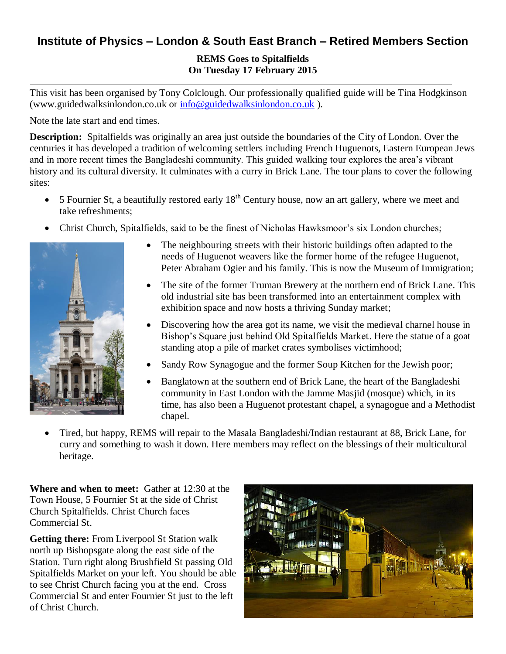## **Institute of Physics – London & South East Branch – Retired Members Section REMS Goes to Spitalfields On Tuesday 17 February 2015**

This visit has been organised by Tony Colclough. Our professionally qualified guide will be Tina Hodgkinson (www.guidedwalksinlondon.co.uk or [info@guidedwalksinlondon.co.uk](mailto:info@guidedwalksinlondon.co.uk) ).

Note the late start and end times.

**Description:** Spitalfields was originally an area just outside the boundaries of the City of London. Over the centuries it has developed a tradition of welcoming settlers including French Huguenots, Eastern European Jews and in more recent times the Bangladeshi community. This guided walking tour explores the area's vibrant history and its cultural diversity. It culminates with a curry in Brick Lane. The tour plans to cover the following sites:

- $\bullet$  5 Fournier St, a beautifully restored early 18<sup>th</sup> Century house, now an art gallery, where we meet and take refreshments;
- Christ Church, Spitalfields, said to be the finest of Nicholas Hawksmoor's six London churches;



- The neighbouring streets with their historic buildings often adapted to the needs of Huguenot weavers like the former home of the refugee Huguenot, Peter Abraham Ogier and his family. This is now the Museum of Immigration;
- The site of the former Truman Brewery at the northern end of Brick Lane. This old industrial site has been transformed into an entertainment complex with exhibition space and now hosts a thriving Sunday market;
- Discovering how the area got its name, we visit the medieval charnel house in Bishop's Square just behind Old Spitalfields Market. Here the statue of a goat standing atop a pile of market crates symbolises victimhood;
- Sandy Row Synagogue and the former Soup Kitchen for the Jewish poor;
- Banglatown at the southern end of Brick Lane, the heart of the Bangladeshi community in East London with the Jamme Masjid (mosque) which, in its time, has also been a Huguenot protestant chapel, a synagogue and a Methodist chapel.
- Tired, but happy, REMS will repair to the Masala Bangladeshi/Indian restaurant at 88, Brick Lane, for curry and something to wash it down. Here members may reflect on the blessings of their multicultural heritage.

**Where and when to meet:** Gather at 12:30 at the Town House, 5 Fournier St at the side of Christ Church Spitalfields. Christ Church faces Commercial St.

**Getting there:** From Liverpool St Station walk north up Bishopsgate along the east side of the Station. Turn right along Brushfield St passing Old Spitalfields Market on your left. You should be able to see Christ Church facing you at the end. Cross Commercial St and enter Fournier St just to the left of Christ Church.